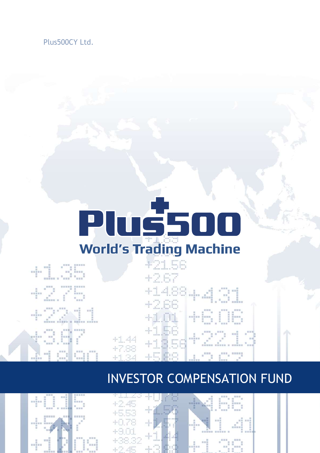### Plus500CY Ltd.

# **Pluš500 World's Trading Machine**

+21 E6

A.

 $\frac{1}{2}\sum_{i=1}^{2m} \left[\sum_{i=1}^{2m} \frac{1}{i}\right]^{2n}$ +14884.4001  $+1.56$ <br> $+1.56$ <br> $+1.3.56$ **MEDIE**  $+1.44$ <br> $+7.88$ 

## INVESTOR COMPENSATION FUND





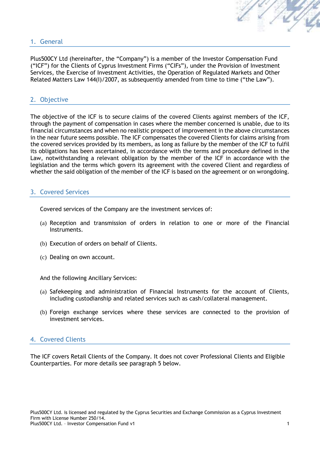#### 1. General

Plus500CY Ltd (hereinafter, the "Company") is a member of the Investor Compensation Fund ("ICF") for the Clients of Cyprus Investment Firms ("CIFs"), under the Provision of Investment Services, the Exercise of Investment Activities, the Operation of Regulated Markets and Other Related Matters Law 144(I)/2007, as subsequently amended from time to time ("the Law").

#### 2. Objective

The objective of the ICF is to secure claims of the covered Clients against members of the ICF, through the payment of compensation in cases where the member concerned is unable, due to its financial circumstances and when no realistic prospect of improvement in the above circumstances in the near future seems possible. The ICF compensates the covered Clients for claims arising from the covered services provided by its members, as long as failure by the member of the ICF to fulfil its obligations has been ascertained, in accordance with the terms and procedure defined in the Law, notwithstanding a relevant obligation by the member of the ICF in accordance with the legislation and the terms which govern its agreement with the covered Client and regardless of whether the said obligation of the member of the ICF is based on the agreement or on wrongdoing.

#### 3. Covered Services

Covered services of the Company are the investment services of:

- (a) Reception and transmission of orders in relation to one or more of the Financial Instruments.
- (b) Execution of orders on behalf of Clients.
- (c) Dealing on own account.

And the following Ancillary Services:

- (a) Safekeeping and administration of Financial Instruments for the account of Clients, including custodianship and related services such as cash/collateral management.
- (b) Foreign exchange services where these services are connected to the provision of investment services.

#### 4. Covered Clients

The ICF covers Retail Clients of the Company. It does not cover Professional Clients and Eligible Counterparties. For more details see paragraph 5 below.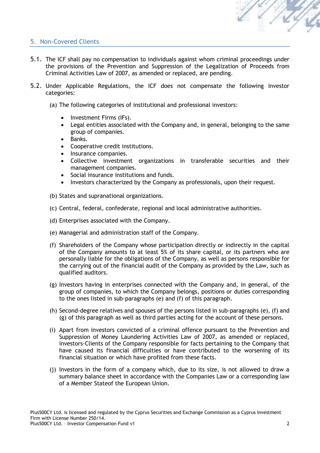

#### 5. Non-Covered Clients

- 5.1. The ICF shall pay no compensation to individuals against whom criminal proceedings under the provisions of the Prevention and Suppression of the Legalization of Proceeds from Criminal Activities Law of 2007, as amended or replaced, are pending.
- 5.2. Under Applicable Regulations, the ICF does not compensate the following investor categories:
	- (a) The following categories of institutional and professional investors:
		- Investment Firms (IFs).
		- Legal entities associated with the Company and, in general, belonging to the same group of companies.
		- Banks.
		- Cooperative credit institutions.
		- Insurance companies.
		- Collective investment organizations in transferable securities and their management companies.
		- Social insurance institutions and funds.
		- Investors characterized by the Company as professionals, upon their request.
	- (b) States and supranational organizations.
	- (c) Central, federal, confederate, regional and local administrative authorities.
	- (d) Enterprises associated with the Company.
	- (e) Managerial and administration staff of the Company.
	- (f) Shareholders of the Company whose participation directly or indirectly in the capital of the Company amounts to at least 5% of its share capital, or its partners who are personally liable for the obligations of the Company, as well as persons responsible for the carrying out of the financial audit of the Company as provided by the Law, such as qualified auditors.
	- (g) Investors having in enterprises connected with the Company and, in general, of the group of companies, to which the Company belongs, positions or duties corresponding to the ones listed in sub-paragraphs (e) and (f) of this paragraph.
	- (h) Second-degree relatives and spouses of the persons listed in sub-paragraphs (e), (f) and (g) of this paragraph as well as third parties acting for the account of these persons.
	- (i) Apart from investors convicted of a criminal offence pursuant to the Prevention and Suppression of Money Laundering Activities Law of 2007, as amended or replaced, investors-Clients of the Company responsible for facts pertaining to the Company that have caused its financial difficulties or have contributed to the worsening of its financial situation or which have profited from these facts.
	- (j) Investors in the form of a company which, due to its size, is not allowed to draw a summary balance sheet in accordance with the Companies Law or a corresponding law of a Member Stateof the European Union.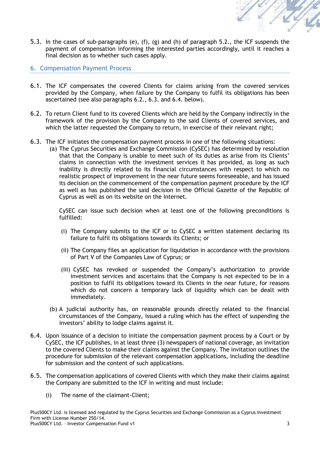

5.3. In the cases of sub-paragraphs (e), (f), (g) and (h) of paragraph 5.2., the ICF suspends the payment of compensation informing the interested parties accordingly, until it reaches a final decision as to whether such cases apply.

#### 6. Compensation Payment Process

- 6.1. The ICF compensates the covered Clients for claims arising from the covered services provided by the Company, when failure by the Company to fulfil its obligations has been ascertained (see also paragraphs 6.2., 6.3. and 6.4. below).
- 6.2. To return Client fund to its covered Clients which are held by the Company indirectly in the framework of the provision by the Company to the said Clients of covered services, and which the latter requested the Company to return, in exercise of their relevant right;
- 6.3. The ICF initiates the compensation payment process in one of the following situations:
	- (a) The Cyprus Securities and Exchange Commission (CySEC) has determined by resolution that that the Company is unable to meet such of its duties as arise from its Clients' claims in connection with the investment services it has provided, as long as such inability is directly related to its financial circumstances with respect to which no realistic prospect of improvement in the near future seems foreseeable, and has issued its decision on the commencement of the compensation payment procedure by the ICF as well as has published the said decision in the Official Gazette of the Republic of Cyprus as well as on its website on the Internet.

CySEC can issue such decision when at least one of the following preconditions is fulfilled:

- (i) The Company submits to the ICF or to CySEC a written statement declaring its failure to fulfil its obligations towards its Clients; or
- (ii) The Company files an application for liquidation in accordance with the provisions of Part V of the Companies Law of Cyprus; or
- (iii) CySEC has revoked or suspended the Company's authorization to provide investment services and ascertains that the Company is not expected to be in a position to fulfil its obligations toward its Clients in the near future, for reasons which do not concern a temporary lack of liquidity which can be dealt with immediately.
- (b) A judicial authority has, on reasonable grounds directly related to the financial circumstances of the Company, issued a ruling which has the effect of suspending the investors' ability to lodge claims against it.
- 6.4. Upon issuance of a decision to initiate the compensation payment process by a Court or by CySEC, the ICF publishes, in at least three (3) newspapers of national coverage, an invitation to the covered Clients to make their claims against the Company. The invitation outlines the procedure for submission of the relevant compensation applications, including the deadline for submission and the content of such applications.
- 6.5. The compensation applications of covered Clients with which they make their claims against the Company are submitted to the ICF in writing and must include:
	- (i) The name of the claimant-Client;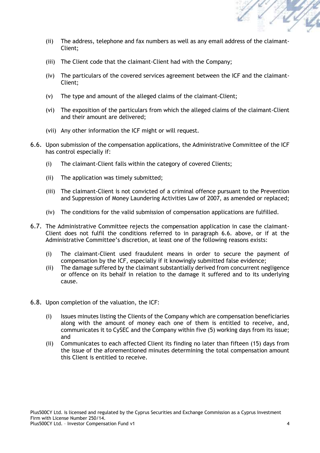

- (ii) The address, telephone and fax numbers as well as any email address of the claimant-Client;
- (iii) The Client code that the claimant-Client had with the Company;
- (iv) The particulars of the covered services agreement between the ICF and the claimant-Client;
- (v) The type and amount of the alleged claims of the claimant-Client;
- (vi) The exposition of the particulars from which the alleged claims of the claimant-Client and their amount are delivered;
- (vii) Any other information the ICF might or will request.
- 6.6. Upon submission of the compensation applications, the Administrative Committee of the ICF has control especially if:
	- (i) The claimant-Client falls within the category of covered Clients;
	- (ii) The application was timely submitted;
	- (iii) The claimant-Client is not convicted of a criminal offence pursuant to the Prevention and Suppression of Money Laundering Activities Law of 2007, as amended or replaced;
	- (iv) The conditions for the valid submission of compensation applications are fulfilled.
- 6.7. The Administrative Committee rejects the compensation application in case the claimant-Client does not fulfil the conditions referred to in paragraph 6.6. above, or if at the Administrative Committee's discretion, at least one of the following reasons exists:
	- (i) The claimant-Client used fraudulent means in order to secure the payment of compensation by the ICF, especially if it knowingly submitted false evidence;
	- (ii) The damage suffered by the claimant substantially derived from concurrent negligence or offence on its behalf in relation to the damage it suffered and to its underlying cause.
- 6.8. Upon completion of the valuation, the ICF:
	- (i) Issues minutes listing the Clients of the Company which are compensation beneficiaries along with the amount of money each one of them is entitled to receive, and, communicates it to CySEC and the Company within five (5) working days from its issue; and
	- (ii) Communicates to each affected Client its finding no later than fifteen (15) days from the issue of the aforementioned minutes determining the total compensation amount this Client is entitled to receive.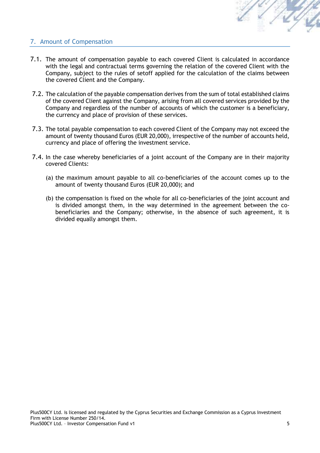

#### 7. Amount of Compensation

- 7.1. The amount of compensation payable to each covered Client is calculated in accordance with the legal and contractual terms governing the relation of the covered Client with the Company, subject to the rules of setoff applied for the calculation of the claims between the covered Client and the Company.
- 7.2. The calculation of the payable compensation derives from the sum of total established claims of the covered Client against the Company, arising from all covered services provided by the Company and regardless of the number of accounts of which the customer is a beneficiary, the currency and place of provision of these services.
- 7.3. The total payable compensation to each covered Client of the Company may not exceed the amount of twenty thousand Euros (EUR 20,000), irrespective of the number of accounts held, currency and place of offering the investment service.
- 7.4. In the case whereby beneficiaries of a joint account of the Company are in their majority covered Clients:
	- (a) the maximum amount payable to all co-beneficiaries of the account comes up to the amount of twenty thousand Euros (EUR 20,000); and
	- (b) the compensation is fixed on the whole for all co-beneficiaries of the joint account and is divided amongst them, in the way determined in the agreement between the cobeneficiaries and the Company; otherwise, in the absence of such agreement, it is divided equally amongst them.